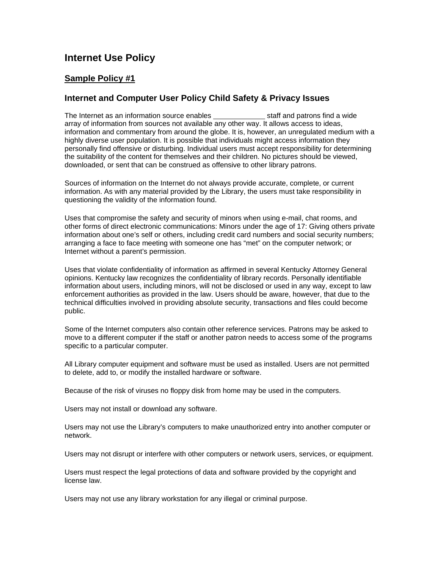# **Internet Use Policy**

# **Sample Policy #1**

# **Internet and Computer User Policy Child Safety & Privacy Issues**

The Internet as an information source enables staff and patrons find a wide array of information from sources not available any other way. It allows access to ideas, information and commentary from around the globe. It is, however, an unregulated medium with a highly diverse user population. It is possible that individuals might access information they personally find offensive or disturbing. Individual users must accept responsibility for determining the suitability of the content for themselves and their children. No pictures should be viewed, downloaded, or sent that can be construed as offensive to other library patrons.

Sources of information on the Internet do not always provide accurate, complete, or current information. As with any material provided by the Library, the users must take responsibility in questioning the validity of the information found.

Uses that compromise the safety and security of minors when using e-mail, chat rooms, and other forms of direct electronic communications: Minors under the age of 17: Giving others private information about one's self or others, including credit card numbers and social security numbers; arranging a face to face meeting with someone one has "met" on the computer network; or Internet without a parent's permission.

Uses that violate confidentiality of information as affirmed in several Kentucky Attorney General opinions. Kentucky law recognizes the confidentiality of library records. Personally identifiable information about users, including minors, will not be disclosed or used in any way, except to law enforcement authorities as provided in the law. Users should be aware, however, that due to the technical difficulties involved in providing absolute security, transactions and files could become public.

Some of the Internet computers also contain other reference services. Patrons may be asked to move to a different computer if the staff or another patron needs to access some of the programs specific to a particular computer.

All Library computer equipment and software must be used as installed. Users are not permitted to delete, add to, or modify the installed hardware or software.

Because of the risk of viruses no floppy disk from home may be used in the computers.

Users may not install or download any software.

Users may not use the Library's computers to make unauthorized entry into another computer or network.

Users may not disrupt or interfere with other computers or network users, services, or equipment.

Users must respect the legal protections of data and software provided by the copyright and license law.

Users may not use any library workstation for any illegal or criminal purpose.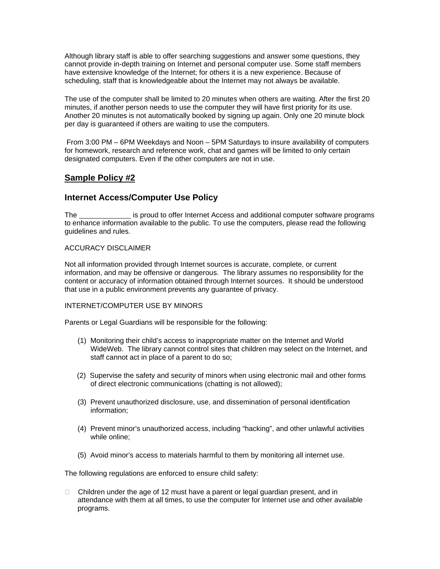Although library staff is able to offer searching suggestions and answer some questions, they cannot provide in-depth training on Internet and personal computer use. Some staff members have extensive knowledge of the Internet; for others it is a new experience. Because of scheduling, staff that is knowledgeable about the Internet may not always be available.

The use of the computer shall be limited to 20 minutes when others are waiting. After the first 20 minutes, if another person needs to use the computer they will have first priority for its use. Another 20 minutes is not automatically booked by signing up again. Only one 20 minute block per day is guaranteed if others are waiting to use the computers.

From 3:00 PM – 6PM Weekdays and Noon – 5PM Saturdays to insure availability of computers for homework, research and reference work, chat and games will be limited to only certain designated computers. Even if the other computers are not in use.

# **Sample Policy #2**

## **Internet Access/Computer Use Policy**

The is proud to offer Internet Access and additional computer software programs to enhance information available to the public. To use the computers, please read the following guidelines and rules.

## ACCURACY DISCLAIMER

Not all information provided through Internet sources is accurate, complete, or current information, and may be offensive or dangerous. The library assumes no responsibility for the content or accuracy of information obtained through Internet sources. It should be understood that use in a public environment prevents any guarantee of privacy.

## INTERNET/COMPUTER USE BY MINORS

Parents or Legal Guardians will be responsible for the following:

- (1) Monitoring their child's access to inappropriate matter on the Internet and World WideWeb. The library cannot control sites that children may select on the Internet, and staff cannot act in place of a parent to do so;
- (2) Supervise the safety and security of minors when using electronic mail and other forms of direct electronic communications (chatting is not allowed);
- (3) Prevent unauthorized disclosure, use, and dissemination of personal identification information;
- (4) Prevent minor's unauthorized access, including "hacking", and other unlawful activities while online;
- (5) Avoid minor's access to materials harmful to them by monitoring all internet use.

The following regulations are enforced to ensure child safety:

 $\Box$  Children under the age of 12 must have a parent or legal guardian present, and in attendance with them at all times, to use the computer for Internet use and other available programs.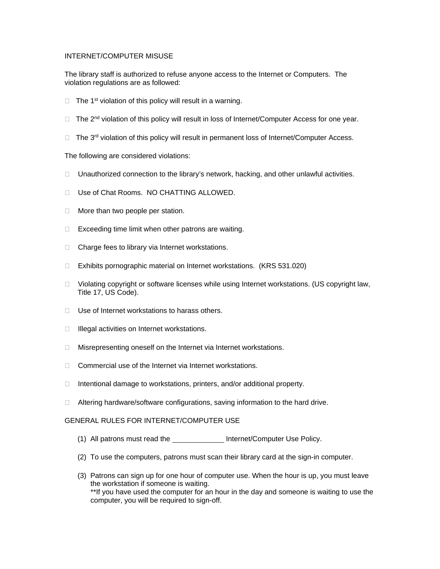#### INTERNET/COMPUTER MISUSE

The library staff is authorized to refuse anyone access to the Internet or Computers. The violation regulations are as followed:

- $\Box$  The 1<sup>st</sup> violation of this policy will result in a warning.
- $\Box$  The 2<sup>nd</sup> violation of this policy will result in loss of Internet/Computer Access for one year.
- $\Box$  The 3<sup>rd</sup> violation of this policy will result in permanent loss of Internet/Computer Access.

#### The following are considered violations:

- $\Box$  Unauthorized connection to the library's network, hacking, and other unlawful activities.
- □ Use of Chat Rooms. NO CHATTING ALLOWED.
- $\Box$  More than two people per station.
- $\Box$  Exceeding time limit when other patrons are waiting.
- $\Box$  Charge fees to library via Internet workstations.
- □ Exhibits pornographic material on Internet workstations. (KRS 531.020)
- $\Box$  Violating copyright or software licenses while using Internet workstations. (US copyright law, Title 17, US Code).
- $\Box$  Use of Internet workstations to harass others.
- $\Box$  Illegal activities on Internet workstations.
- $\Box$  Misrepresenting oneself on the Internet via Internet workstations.
- $\Box$  Commercial use of the Internet via Internet workstations.
- $\Box$  Intentional damage to workstations, printers, and/or additional property.
- $\Box$  Altering hardware/software configurations, saving information to the hard drive.

#### GENERAL RULES FOR INTERNET/COMPUTER USE

- (1) All patrons must read the **Internet/Computer Use Policy**.
- (2) To use the computers, patrons must scan their library card at the sign-in computer.
- (3) Patrons can sign up for one hour of computer use. When the hour is up, you must leave the workstation if someone is waiting. \*\*If you have used the computer for an hour in the day and someone is waiting to use the computer, you will be required to sign-off.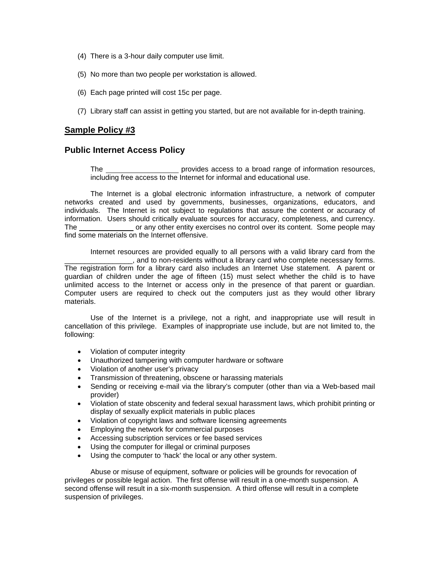- (4) There is a 3-hour daily computer use limit.
- (5) No more than two people per workstation is allowed.
- (6) Each page printed will cost 15c per page.
- (7) Library staff can assist in getting you started, but are not available for in-depth training.

## **Sample Policy #3**

## **Public Internet Access Policy**

The **constant of the provides** access to a broad range of information resources, including free access to the Internet for informal and educational use.

The Internet is a global electronic information infrastructure, a network of computer networks created and used by governments, businesses, organizations, educators, and individuals. The Internet is not subject to regulations that assure the content or accuracy of information. Users should critically evaluate sources for accuracy, completeness, and currency. The or any other entity exercises no control over its content. Some people may find some materials on the Internet offensive.

Internet resources are provided equally to all persons with a valid library card from the . and to non-residents without a library card who complete necessary forms. The registration form for a library card also includes an Internet Use statement. A parent or guardian of children under the age of fifteen (15) must select whether the child is to have unlimited access to the Internet or access only in the presence of that parent or guardian. Computer users are required to check out the computers just as they would other library materials.

Use of the Internet is a privilege, not a right, and inappropriate use will result in cancellation of this privilege. Examples of inappropriate use include, but are not limited to, the following:

- Violation of computer integrity
- Unauthorized tampering with computer hardware or software
- Violation of another user's privacy
- Transmission of threatening, obscene or harassing materials
- Sending or receiving e-mail via the library's computer (other than via a Web-based mail provider)
- Violation of state obscenity and federal sexual harassment laws, which prohibit printing or display of sexually explicit materials in public places
- Violation of copyright laws and software licensing agreements
- Employing the network for commercial purposes
- Accessing subscription services or fee based services
- Using the computer for illegal or criminal purposes
- Using the computer to 'hack' the local or any other system.

Abuse or misuse of equipment, software or policies will be grounds for revocation of privileges or possible legal action. The first offense will result in a one-month suspension. A second offense will result in a six-month suspension. A third offense will result in a complete suspension of privileges.